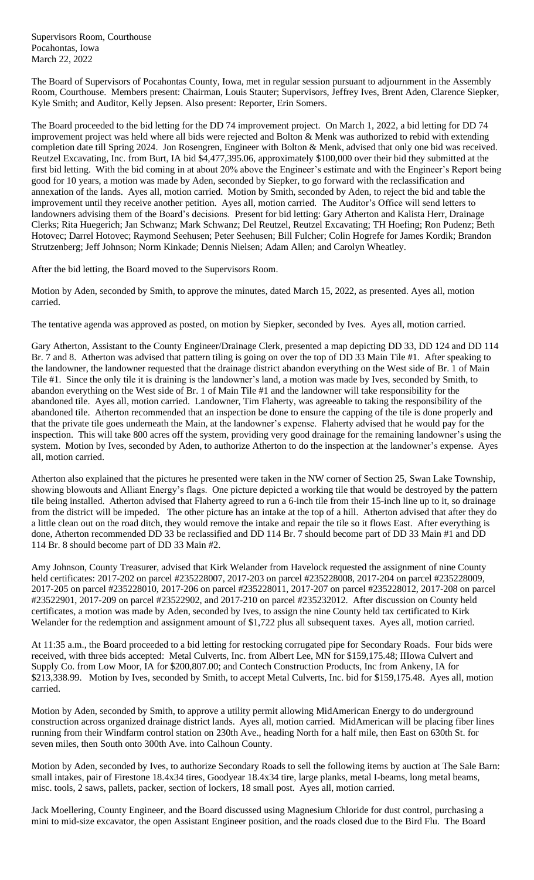Supervisors Room, Courthouse Pocahontas, Iowa March 22, 2022

The Board of Supervisors of Pocahontas County, Iowa, met in regular session pursuant to adjournment in the Assembly Room, Courthouse. Members present: Chairman, Louis Stauter; Supervisors, Jeffrey Ives, Brent Aden, Clarence Siepker, Kyle Smith; and Auditor, Kelly Jepsen. Also present: Reporter, Erin Somers.

The Board proceeded to the bid letting for the DD 74 improvement project. On March 1, 2022, a bid letting for DD 74 improvement project was held where all bids were rejected and Bolton & Menk was authorized to rebid with extending completion date till Spring 2024. Jon Rosengren, Engineer with Bolton & Menk, advised that only one bid was received. Reutzel Excavating, Inc. from Burt, IA bid \$4,477,395.06, approximately \$100,000 over their bid they submitted at the first bid letting. With the bid coming in at about 20% above the Engineer's estimate and with the Engineer's Report being good for 10 years, a motion was made by Aden, seconded by Siepker, to go forward with the reclassification and annexation of the lands. Ayes all, motion carried. Motion by Smith, seconded by Aden, to reject the bid and table the improvement until they receive another petition. Ayes all, motion carried. The Auditor's Office will send letters to landowners advising them of the Board's decisions. Present for bid letting: Gary Atherton and Kalista Herr, Drainage Clerks; Rita Huegerich; Jan Schwanz; Mark Schwanz; Del Reutzel, Reutzel Excavating; TH Hoefing; Ron Pudenz; Beth Hotovec; Darrel Hotovec; Raymond Seehusen; Peter Seehusen; Bill Fulcher; Colin Hogrefe for James Kordik; Brandon Strutzenberg; Jeff Johnson; Norm Kinkade; Dennis Nielsen; Adam Allen; and Carolyn Wheatley.

After the bid letting, the Board moved to the Supervisors Room.

Motion by Aden, seconded by Smith, to approve the minutes, dated March 15, 2022, as presented. Ayes all, motion carried.

The tentative agenda was approved as posted, on motion by Siepker, seconded by Ives. Ayes all, motion carried.

Gary Atherton, Assistant to the County Engineer/Drainage Clerk, presented a map depicting DD 33, DD 124 and DD 114 Br. 7 and 8. Atherton was advised that pattern tiling is going on over the top of DD 33 Main Tile #1. After speaking to the landowner, the landowner requested that the drainage district abandon everything on the West side of Br. 1 of Main Tile #1. Since the only tile it is draining is the landowner's land, a motion was made by Ives, seconded by Smith, to abandon everything on the West side of Br. 1 of Main Tile #1 and the landowner will take responsibility for the abandoned tile. Ayes all, motion carried. Landowner, Tim Flaherty, was agreeable to taking the responsibility of the abandoned tile. Atherton recommended that an inspection be done to ensure the capping of the tile is done properly and that the private tile goes underneath the Main, at the landowner's expense. Flaherty advised that he would pay for the inspection. This will take 800 acres off the system, providing very good drainage for the remaining landowner's using the system. Motion by Ives, seconded by Aden, to authorize Atherton to do the inspection at the landowner's expense. Ayes all, motion carried.

Atherton also explained that the pictures he presented were taken in the NW corner of Section 25, Swan Lake Township, showing blowouts and Alliant Energy's flags. One picture depicted a working tile that would be destroyed by the pattern tile being installed. Atherton advised that Flaherty agreed to run a 6-inch tile from their 15-inch line up to it, so drainage from the district will be impeded. The other picture has an intake at the top of a hill. Atherton advised that after they do a little clean out on the road ditch, they would remove the intake and repair the tile so it flows East. After everything is done, Atherton recommended DD 33 be reclassified and DD 114 Br. 7 should become part of DD 33 Main #1 and DD 114 Br. 8 should become part of DD 33 Main #2.

Amy Johnson, County Treasurer, advised that Kirk Welander from Havelock requested the assignment of nine County held certificates: 2017-202 on parcel #235228007, 2017-203 on parcel #235228008, 2017-204 on parcel #235228009, 2017-205 on parcel #235228010, 2017-206 on parcel #235228011, 2017-207 on parcel #235228012, 2017-208 on parcel #23522901, 2017-209 on parcel #23522902, and 2017-210 on parcel #235232012. After discussion on County held certificates, a motion was made by Aden, seconded by Ives, to assign the nine County held tax certificated to Kirk Welander for the redemption and assignment amount of \$1,722 plus all subsequent taxes. Ayes all, motion carried.

At 11:35 a.m., the Board proceeded to a bid letting for restocking corrugated pipe for Secondary Roads. Four bids were received, with three bids accepted: Metal Culverts, Inc. from Albert Lee, MN for \$159,175.48; IIIowa Culvert and Supply Co. from Low Moor, IA for \$200,807.00; and Contech Construction Products, Inc from Ankeny, IA for \$213,338.99. Motion by Ives, seconded by Smith, to accept Metal Culverts, Inc. bid for \$159,175.48. Ayes all, motion carried.

Motion by Aden, seconded by Smith, to approve a utility permit allowing MidAmerican Energy to do underground construction across organized drainage district lands. Ayes all, motion carried. MidAmerican will be placing fiber lines running from their Windfarm control station on 230th Ave., heading North for a half mile, then East on 630th St. for seven miles, then South onto 300th Ave. into Calhoun County.

Motion by Aden, seconded by Ives, to authorize Secondary Roads to sell the following items by auction at The Sale Barn: small intakes, pair of Firestone 18.4x34 tires, Goodyear 18.4x34 tire, large planks, metal I-beams, long metal beams, misc. tools, 2 saws, pallets, packer, section of lockers, 18 small post. Ayes all, motion carried.

Jack Moellering, County Engineer, and the Board discussed using Magnesium Chloride for dust control, purchasing a mini to mid-size excavator, the open Assistant Engineer position, and the roads closed due to the Bird Flu. The Board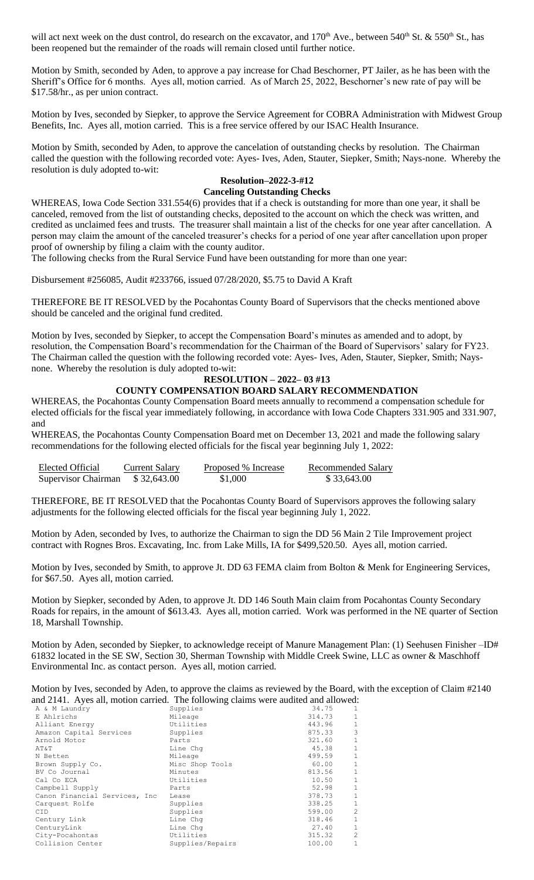will act next week on the dust control, do research on the excavator, and  $170<sup>th</sup>$  Ave., between 540<sup>th</sup> St. & 550<sup>th</sup> St., has been reopened but the remainder of the roads will remain closed until further notice.

Motion by Smith, seconded by Aden, to approve a pay increase for Chad Beschorner, PT Jailer, as he has been with the Sheriff's Office for 6 months. Ayes all, motion carried. As of March 25, 2022, Beschorner's new rate of pay will be \$17.58/hr., as per union contract.

Motion by Ives, seconded by Siepker, to approve the Service Agreement for COBRA Administration with Midwest Group Benefits, Inc. Ayes all, motion carried. This is a free service offered by our ISAC Health Insurance.

Motion by Smith, seconded by Aden, to approve the cancelation of outstanding checks by resolution. The Chairman called the question with the following recorded vote: Ayes- Ives, Aden, Stauter, Siepker, Smith; Nays-none. Whereby the resolution is duly adopted to-wit:

## **Resolution–2022-3-#12 Canceling Outstanding Checks**

WHEREAS, Iowa Code Section 331.554(6) provides that if a check is outstanding for more than one year, it shall be canceled, removed from the list of outstanding checks, deposited to the account on which the check was written, and credited as unclaimed fees and trusts. The treasurer shall maintain a list of the checks for one year after cancellation. A person may claim the amount of the canceled treasurer's checks for a period of one year after cancellation upon proper proof of ownership by filing a claim with the county auditor.

The following checks from the Rural Service Fund have been outstanding for more than one year:

Disbursement #256085, Audit #233766, issued 07/28/2020, \$5.75 to David A Kraft

THEREFORE BE IT RESOLVED by the Pocahontas County Board of Supervisors that the checks mentioned above should be canceled and the original fund credited.

Motion by Ives, seconded by Siepker, to accept the Compensation Board's minutes as amended and to adopt, by resolution, the Compensation Board's recommendation for the Chairman of the Board of Supervisors' salary for FY23. The Chairman called the question with the following recorded vote: Ayes- Ives, Aden, Stauter, Siepker, Smith; Naysnone. Whereby the resolution is duly adopted to-wit:

## **RESOLUTION – 2022– 03 #13**

## **COUNTY COMPENSATION BOARD SALARY RECOMMENDATION**

WHEREAS, the Pocahontas County Compensation Board meets annually to recommend a compensation schedule for elected officials for the fiscal year immediately following, in accordance with Iowa Code Chapters 331.905 and 331.907, and

WHEREAS, the Pocahontas County Compensation Board met on December 13, 2021 and made the following salary recommendations for the following elected officials for the fiscal year beginning July 1, 2022:

| Elected Official    | Current Salary | Proposed % Increase | Recommended Salary |
|---------------------|----------------|---------------------|--------------------|
| Supervisor Chairman | \$32,643.00    | \$1,000             | \$33,643.00        |

THEREFORE, BE IT RESOLVED that the Pocahontas County Board of Supervisors approves the following salary adjustments for the following elected officials for the fiscal year beginning July 1, 2022.

Motion by Aden, seconded by Ives, to authorize the Chairman to sign the DD 56 Main 2 Tile Improvement project contract with Rognes Bros. Excavating, Inc. from Lake Mills, IA for \$499,520.50. Ayes all, motion carried.

Motion by Ives, seconded by Smith, to approve Jt. DD 63 FEMA claim from Bolton & Menk for Engineering Services, for \$67.50. Ayes all, motion carried.

Motion by Siepker, seconded by Aden, to approve Jt. DD 146 South Main claim from Pocahontas County Secondary Roads for repairs, in the amount of \$613.43. Ayes all, motion carried. Work was performed in the NE quarter of Section 18, Marshall Township.

Motion by Aden, seconded by Siepker, to acknowledge receipt of Manure Management Plan: (1) Seehusen Finisher –ID# 61832 located in the SE SW, Section 30, Sherman Township with Middle Creek Swine, LLC as owner & Maschhoff Environmental Inc. as contact person. Ayes all, motion carried.

Motion by Ives, seconded by Aden, to approve the claims as reviewed by the Board, with the exception of Claim #2140 and 2141. Ayes all, motion carried. The following claims were audited and allowed:

| A & M Laundry                  | Supplies         | 34.75  | $\mathbf{1}$ |
|--------------------------------|------------------|--------|--------------|
| E Ahlrichs                     | Mileage          | 314.73 | $\mathbf{1}$ |
| Alliant Energy                 | Utilities        | 443.96 | $\mathbf{1}$ |
| Amazon Capital Services        | Supplies         | 875.33 | 3            |
| Arnold Motor                   | Parts            | 321.60 | 1            |
| AT&T                           | Line Chq         | 45.38  | $\mathbf{1}$ |
| N Betten                       | Mileage          | 499.59 | $\mathbf{1}$ |
| Brown Supply Co.               | Misc Shop Tools  | 60.00  | $\mathbf{1}$ |
| BV Co Journal                  | Minutes          | 813.56 | $\mathbf{1}$ |
| Cal Co ECA                     | Utilities        | 10.50  | 1            |
| Campbell Supply                | Parts            | 52.98  | $\mathbf{1}$ |
| Canon Financial Services, Inc. | Lease            | 378.73 | $\mathbf{1}$ |
| Carquest Rolfe                 | Supplies         | 338.25 | 1            |
| <b>CID</b>                     | Supplies         | 599.00 | 2            |
| Century Link                   | Line Chq         | 318.46 | $\mathbf{1}$ |
| CenturyLink                    | Line Chq         | 27.40  | $\mathbf{1}$ |
| City-Pocahontas                | Utilities        | 315.32 | 2            |
| Collision Center               | Supplies/Repairs | 100.00 | $\mathbf{1}$ |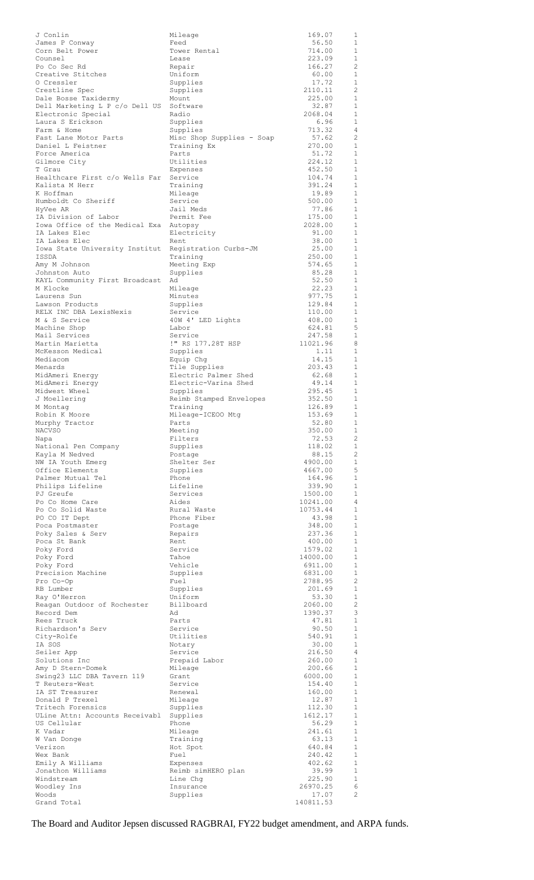| J Conlin                                        | Mileage                               | 169.07             | 1                              |
|-------------------------------------------------|---------------------------------------|--------------------|--------------------------------|
| James P Conway                                  | Feed                                  | 56.50              | 1                              |
| Corn Belt Power<br>Counsel                      | Tower Rental<br>Lease                 | 714.00<br>223.09   | 1<br>1                         |
| Po Co Sec Rd                                    | Repair                                | 166.27             | 2                              |
| Creative Stitches                               | Uniform                               | 60.00              | 1                              |
| 0 Cressler                                      | Supplies                              | 17.72              | 1                              |
| Crestline Spec                                  | Supplies                              | 2110.11            | 2                              |
| Dale Bosse Taxidermy                            | Mount                                 | 225.00             | 1                              |
| Dell Marketing L P c/o Dell US Software         | Radio                                 | 32.87              | 1<br>1                         |
| Electronic Special<br>Laura S Erickson          | Supplies                              | 2068.04<br>6.96    | 1                              |
| Farm & Home                                     | Supplies                              | 713.32             | 4                              |
| Fast Lane Motor Parts                           | Misc Shop Supplies - Soap             | 57.62              | 2                              |
| Daniel L Feistner                               | Training Ex                           | 270.00             | 1                              |
| Force America                                   | Parts                                 | 51.72              | 1                              |
| Gilmore City                                    | Utilities                             | 224.12             | $\mathbf{1}$                   |
| T Grau<br>Healthcare First c/o Wells Far        | Expenses<br>Service                   | 452.50<br>104.74   | 1<br>$\mathbf{1}$              |
| Kalista M Herr                                  | Training                              | 391.24             | 1                              |
| K Hoffman                                       | Mileage                               | 19.89              | $\mathbf{1}$                   |
| Humboldt Co Sheriff                             | Service                               | 500.00             | 1                              |
| HyVee AR                                        | Jail Meds                             | 77.86              | 1                              |
| IA Division of Labor                            | Permit Fee                            | 175.00             | 1                              |
| Iowa Office of the Medical Exa Autopsy          |                                       | 2028.00            | $\mathbf{1}$                   |
| IA Lakes Elec                                   | Electricity                           | 91.00              | $\mathbf{1}$<br>$\mathbf{1}$   |
| IA Lakes Elec<br>Iowa State University Institut | Rent<br>Registration Curbs-JM         | 38.00<br>25.00     | 1                              |
| ISSDA                                           | Training                              | 250.00             | $\mathbf{1}$                   |
| Amy M Johnson                                   | Meeting Exp                           | 574.65             | 1                              |
| Johnston Auto                                   | Supplies                              | 85.28              | $\mathbf{1}$                   |
| KAYL Community First Broadcast                  | Ad                                    | 52.50              | 1                              |
| M Klocke                                        | Mileage                               | 22.23              | $\mathbf{1}$                   |
| Laurens Sun                                     | Minutes                               | 977.75             | 1<br>1                         |
| Lawson Products<br>RELX INC DBA LexisNexis      | Supplies<br>Service                   | 129.84<br>110.00   | 1                              |
| M & S Service                                   | 40W 4' LED Lights                     | 408.00             | 1                              |
| Machine Shop                                    | Labor                                 | 624.81             | 5                              |
| Mail Services                                   | Service                               | 247.58             | 1                              |
| Martin Marietta                                 | !" RS 177.28T HSP                     | 11021.96           | 8                              |
| McKesson Medical                                | Supplies                              | 1.11               | 1                              |
| Mediacom                                        | Equip Chg                             | 14.15              | 1<br>1                         |
| Menards<br>MidAmeri Energy                      | Tile Supplies<br>Electric Palmer Shed | 203.43<br>62.68    | 1                              |
| MidAmeri Energy                                 | Electric-Varina Shed                  | 49.14              | 1                              |
| Midwest Wheel                                   | Supplies                              | 295.45             | 1                              |
| J Moellering                                    | Reimb Stamped Envelopes               | 352.50             | 1                              |
| M Montag                                        | Training                              | 126.89             | $\mathbf{1}$                   |
| Robin K Moore                                   | Mileage-ICEOO Mtg                     | 153.69             | $\mathbf{1}$                   |
| Murphy Tractor<br>NACVSO                        | Parts<br>Meeting                      | 52.80<br>350.00    | $\mathbf{1}$<br>1              |
| Napa                                            | Filters                               | 72.53              | 2                              |
| National Pen Company                            | Supplies                              | 118.02             | $\mathbf{1}$                   |
| Kayla M Nedved                                  | Postage                               | 88.15              | 2                              |
| NW IA Youth Emerg                               | Shelter Ser                           | 4900.00            | $\mathbf{1}$                   |
| Office Elements                                 | Supplies                              | 4667.00            | 5                              |
| Palmer Mutual Tel<br>Philips Lifeline           | Phone<br>Lifeline                     | 164.96<br>339.90   | $\mathbf{1}$<br>$\mathbf{1}$   |
| PJ Greufe                                       | Services                              | 1500.00            | $\mathbf{1}$                   |
| Po Co Home Care                                 | Aides                                 | 10241.00           | 4                              |
| Po Co Solid Waste                               | Rural Waste                           | 10753.44           | 1                              |
| PO CO IT Dept                                   | Phone Fiber                           | 43.98              | $\mathbf{1}$                   |
| Poca Postmaster                                 | Postage                               | 348.00             | 1                              |
| Poky Sales & Serv                               | Repairs                               | 237.36             | $\mathbf{1}$                   |
| Poca St Bank<br>Poky Ford                       | Rent<br>Service                       | 400.00<br>1579.02  | $\mathbf{1}$<br>$\mathbf{1}$   |
| Poky Ford                                       | Tahoe                                 | 14000.00           | $\mathbf{1}$                   |
| Poky Ford                                       | Vehicle                               | 6911.00            | $\mathbf{1}$                   |
| Precision Machine                               | Supplies                              | 6831.00            | 1                              |
| Pro Co-Op                                       | Fuel                                  | 2788.95            | 2                              |
| RB Lumber                                       | Supplies                              | 201.69             | $\mathbf{1}$                   |
| Ray O'Herron                                    | Uniform<br>Billboard                  | 53.30<br>2060.00   | $\mathbf{1}$<br>$\overline{c}$ |
| Reagan Outdoor of Rochester<br>Record Dem       | Ad                                    | 1390.37            | 3                              |
| Rees Truck                                      | Parts                                 | 47.81              | $\mathbf{1}$                   |
| Richardson's Serv                               | Service                               | 90.50              | $\mathbf{1}$                   |
| City-Rolfe                                      | Utilities                             | 540.91             | 1                              |
| IA SOS                                          | Notary                                | 30.00              | $\mathbf{1}$                   |
| Seiler App                                      | Service                               | 216.50             | 4                              |
| Solutions Inc<br>Amy D Stern-Domek              | Prepaid Labor<br>Mileage              | 260.00<br>200.66   | 1<br>1                         |
| Swing23 LLC DBA Tavern 119                      | Grant                                 | 6000.00            | $\mathbf{1}$                   |
| T Reuters-West                                  | Service                               | 154.40             | 1                              |
| IA ST Treasurer                                 | Renewal                               | 160.00             | $\mathbf{1}$                   |
| Donald P Trexel                                 | Mileage                               | 12.87              | 1                              |
| Tritech Forensics                               | Supplies                              | 112.30             | 1                              |
| ULine Attn: Accounts Receivabl                  | Supplies                              | 1612.17            | 1                              |
| US Cellular<br>K Vadar                          | Phone<br>Mileage                      | 56.29<br>241.61    | 1<br>1                         |
| W Van Donge                                     | Training                              | 63.13              | 1                              |
| Verizon                                         | Hot Spot                              | 640.84             | 1                              |
| Wex Bank                                        | Fuel                                  | 240.42             | 1                              |
| Emily A Williams                                | Expenses                              | 402.62             | 1                              |
| Jonathon Williams                               | Reimb simHERO plan                    | 39.99              | 1                              |
| Windstream                                      | Line Chq                              | 225.90<br>26970.25 | 1<br>6                         |
| Woodley Ins<br>Woods                            | Insurance<br>Supplies                 | 17.07              | 2                              |
| Grand Total                                     |                                       | 140811.53          |                                |

The Board and Auditor Jepsen discussed RAGBRAI, FY22 budget amendment, and ARPA funds.